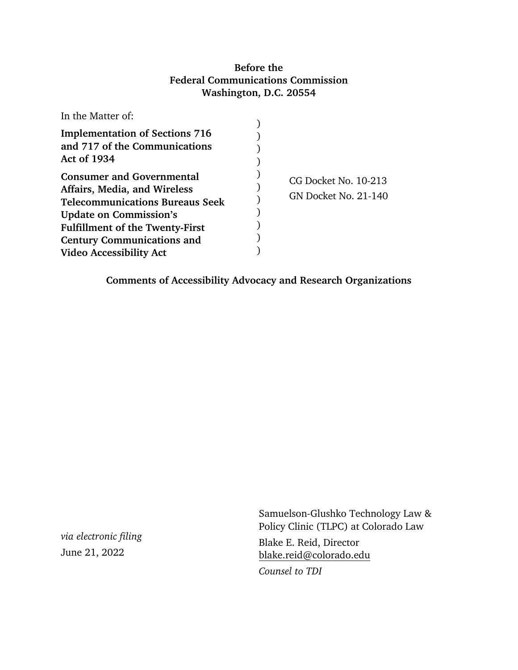# **Before the Federal Communications Commission Washington, D.C. 20554**

| In the Matter of:                                                                                                                                                                                                          |                                              |
|----------------------------------------------------------------------------------------------------------------------------------------------------------------------------------------------------------------------------|----------------------------------------------|
| <b>Implementation of Sections 716</b><br>and 717 of the Communications<br><b>Act of 1934</b>                                                                                                                               |                                              |
| <b>Consumer and Governmental</b><br>Affairs, Media, and Wireless<br><b>Telecommunications Bureaus Seek</b><br><b>Update on Commission's</b><br><b>Fulfillment of the Twenty-First</b><br><b>Century Communications and</b> | CG Docket No. 10-213<br>GN Docket No. 21-140 |
| <b>Video Accessibility Act</b>                                                                                                                                                                                             |                                              |

**Comments of Accessibility Advocacy and Research Organizations**

*via electronic filing* June 21, 2022

Samuelson-Glushko Technology Law & Policy Clinic (TLPC) at Colorado Law Blake E. Reid, Director [blake.reid@colorado.edu](mailto:blake.reid@colorado.edu)

*Counsel to TDI*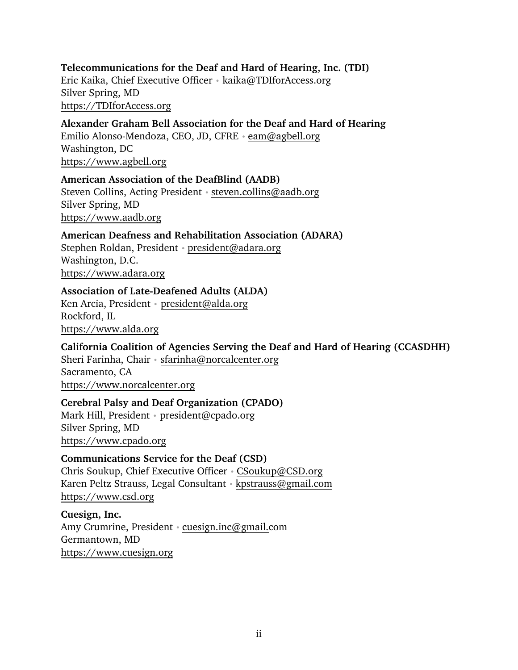## **Telecommunications for the Deaf and Hard of Hearing, Inc. (TDI)** Eric Kaika, Chief Executive Officer • [kaika@TDIforAccess.org](mailto:kaika@TDIforAccess.org) Silver Spring, MD [https://TDIforAccess.org](https://tdiforaccess.org/)

**Alexander Graham Bell Association for the Deaf and Hard of Hearing** Emilio Alonso-Mendoza, CEO, JD, CFRE • [eam@agbell.org](mailto:eam@agbell.org) Washington, DC [https://www.agbell.org](https://www.agbell.org/)

**American Association of the DeafBlind (AADB)** Steven Collins, Acting President • steven.collins@aadb.org Silver Spring, MD [https://www.aadb.org](https://www.aadb.org/)

**American Deafness and Rehabilitation Association (ADARA)** Stephen Roldan, President • [president@adara.org](mailto:president@adara.org) Washington, D.C. [https://www.adara.org](https://www.adara.org/) 

**Association of Late-Deafened Adults (ALDA)**

Ken Arcia, President • [president@alda.org](mailto:president@alda.org)  Rockford, IL [https://www.alda.org](https://www.alda.org/)

**California Coalition of Agencies Serving the Deaf and Hard of Hearing (CCASDHH)** Sheri Farinha, Chair • [sfarinha@norcalcenter.org](mailto:sfarinha@norcalcenter.org) Sacramento, CA [https://www.norcalcenter.org](https://www.norcalcenter.org/) 

**Cerebral Palsy and Deaf Organization (CPADO)** Mark Hill, President • [president@cpado.org](mailto:president@cpado.org) Silver Spring, MD [https://www.cpado.org](https://www.cpado.org/) 

**Communications Service for the Deaf (CSD)** Chris Soukup, Chief Executive Officer • [CSoukup@CSD.org](mailto:CSoukup@CSD.org) Karen Peltz Strauss, Legal Consultant [• kpstrauss@gmail.com](mailto:kpstrauss@gmail.com) [https://www.csd.org](https://www.csd.org/)

**Cuesign, Inc.** Amy Crumrine, President [• cuesign.inc@gmail.com](mailto:cuesign.inc@gmail.com) Germantown, MD [https://www.cuesign.org](https://www.cuesign.org/)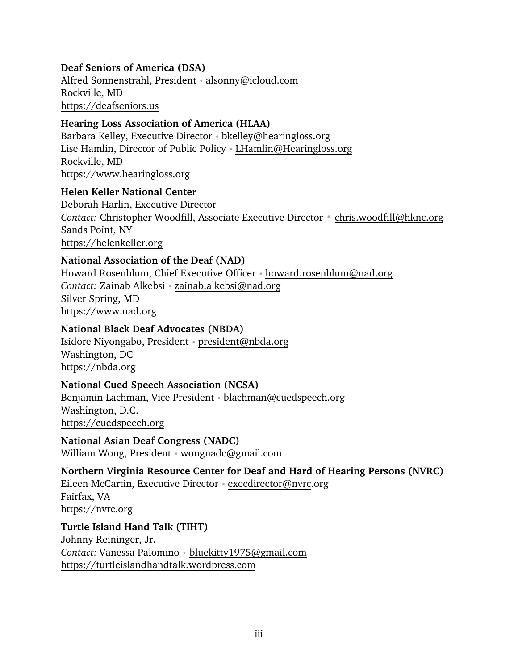## **Deaf Seniors of America (DSA)**

Alfred Sonnenstrahl, President • [alsonny@icloud.com](mailto:alsonny@icloud.com) Rockville, MD [https://deafseniors.us](https://deafseniors.us/)

## **Hearing Loss Association of America (HLAA)**

Barbara Kelley, Executive Director • [bkelley@hearingloss.org](mailto:bkelley@hearingloss.org) Lise Hamlin, Director of Public Policy • LHamlin@Hearingloss.org Rockville, MD [https://www.hearingloss.org](https://www.hearingloss.org/)

#### **Helen Keller National Center**

Deborah Harlin, Executive Director *Contact:* Christopher Woodfill, Associate Executive Director • [chris.woodfill@hknc.org](mailto:chris.woodfill@hknc.org) Sands Point, NY [https://helenkeller.org](https://helenkeller.org/)

## **National Association of the Deaf (NAD)**

Howard Rosenblum, Chief Executive Officer [• howard.rosenblum@nad.org](mailto:howard.rosenblum@nad.org) *Contact:* Zainab Alkebsi • [zainab.alkebsi@nad.org](mailto:zainab.alkebsi@nad.org) Silver Spring, MD [https://www.nad.org](https://www.nad.org/)

## **National Black Deaf Advocates (NBDA)**

Isidore Niyongabo, President • [president@nbda.org](mailto:president@nbda.org) Washington, DC [https://nbda.org](https://nbda.org/)

#### **National Cued Speech Association (NCSA)**

Benjamin Lachman, Vice President • [blachman@cuedspeech.org](mailto:blachman@cuedspeech.org) Washington, D.C. [https://cuedspeech.org](https://cuedspeech.org/)

**National Asian Deaf Congress (NADC)**  William Wong, President • [wongnadc@gmail.com](mailto:wongnadc@gmail.com) 

## **Northern Virginia Resource Center for Deaf and Hard of Hearing Persons (NVRC)**

Eileen McCartin, Executive Director [• execdirector@nvrc.org](mailto:execdirector@nvrc.org) Fairfax, VA [https://nvrc.org](https://nvrc.org/)

## **Turtle Island Hand Talk (TIHT)**

Johnny Reininger, Jr. *Contact:* Vanessa Palomino • [bluekitty1975@gmail.com](mailto:bluekitty1975@gmail.com) [https://turtleislandhandtalk.wordpress.com](https://turtleislandhandtalk.wordpress.com/)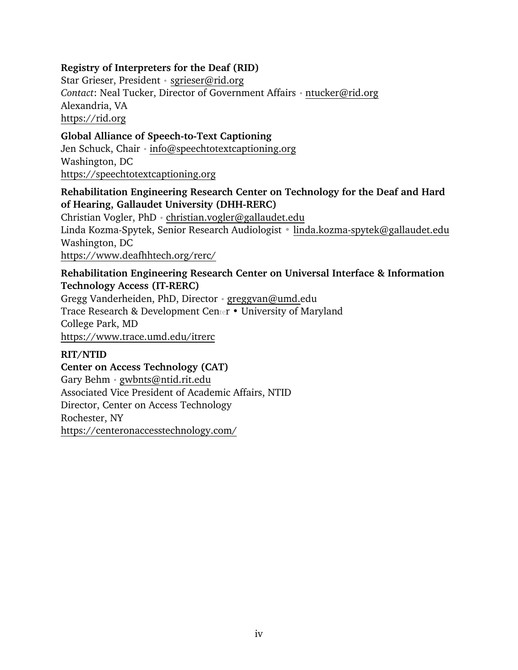## **Registry of Interpreters for the Deaf (RID)**

Star Grieser, President • [sgrieser@rid.org](mailto:sgrieser@rid.org)  *Contact*: Neal Tucker, Director of Government Affairs • [ntucker@rid.org](mailto:ntucker@rid.org) Alexandria, VA [https://rid.org](https://rid.org/)

**Global Alliance of Speech-to-Text Captioning** Jen Schuck, Chair [• info@speechtotextcaptioning.org](mailto:info@speechtotextcaptioning.org) Washington, DC [https://speechtotextcaptioning.org](https://speechtotextcaptioning.org/) 

## **Rehabilitation Engineering Research Center on Technology for the Deaf and Hard of Hearing, Gallaudet University (DHH-RERC)**

Christian Vogler, PhD • [christian.vogler@gallaudet.edu](mailto:christian.vogler@gallaudet.edu) Linda Kozma-Spytek, Senior Research Audiologist • [linda.kozma-spytek@gallaudet.edu](mailto:linda.kozma-spytek@gallaudet.edu)  Washington, DC <https://www.deafhhtech.org/rerc/>

#### **Rehabilitation Engineering Research Center on Universal Interface & Information Technology Access (IT-RERC)**

Gregg Vanderheiden, PhD, Director [• greggvan@umd.edu](mailto:greggvan@umd.edu) Trace Research & Development Center • University of Maryland College Park, MD <https://www.trace.umd.edu/itrerc>

## **RIT/NTID**

**Center on Access Technology (CAT)** Gary Behm • [gwbnts@ntid.rit.edu](mailto:gwbnts@ntid.rit.edu) Associated Vice President of Academic Affairs, NTID Director, Center on Access Technology Rochester, NY <https://centeronaccesstechnology.com/>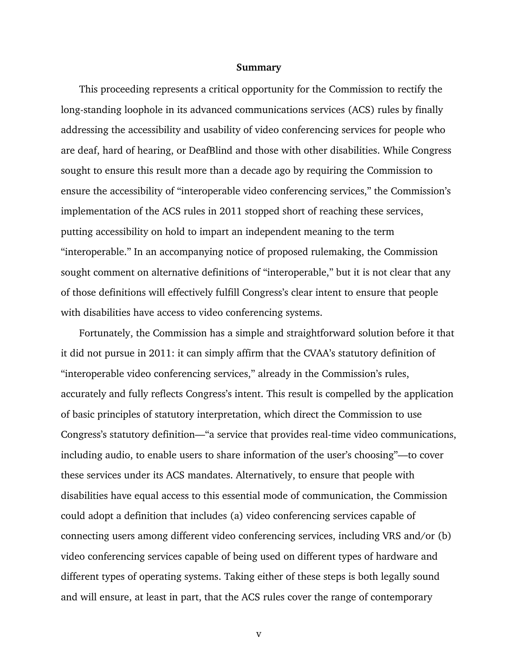#### **Summary**

<span id="page-4-0"></span>This proceeding represents a critical opportunity for the Commission to rectify the long-standing loophole in its advanced communications services (ACS) rules by finally addressing the accessibility and usability of video conferencing services for people who are deaf, hard of hearing, or DeafBlind and those with other disabilities. While Congress sought to ensure this result more than a decade ago by requiring the Commission to ensure the accessibility of "interoperable video conferencing services," the Commission's implementation of the ACS rules in 2011 stopped short of reaching these services, putting accessibility on hold to impart an independent meaning to the term "interoperable." In an accompanying notice of proposed rulemaking, the Commission sought comment on alternative definitions of "interoperable," but it is not clear that any of those definitions will effectively fulfill Congress's clear intent to ensure that people with disabilities have access to video conferencing systems.

Fortunately, the Commission has a simple and straightforward solution before it that it did not pursue in 2011: it can simply affirm that the CVAA's statutory definition of "interoperable video conferencing services," already in the Commission's rules, accurately and fully reflects Congress's intent. This result is compelled by the application of basic principles of statutory interpretation, which direct the Commission to use Congress's statutory definition—"a service that provides real-time video communications, including audio, to enable users to share information of the user's choosing"—to cover these services under its ACS mandates. Alternatively, to ensure that people with disabilities have equal access to this essential mode of communication, the Commission could adopt a definition that includes (a) video conferencing services capable of connecting users among different video conferencing services, including VRS and/or (b) video conferencing services capable of being used on different types of hardware and different types of operating systems. Taking either of these steps is both legally sound and will ensure, at least in part, that the ACS rules cover the range of contemporary

v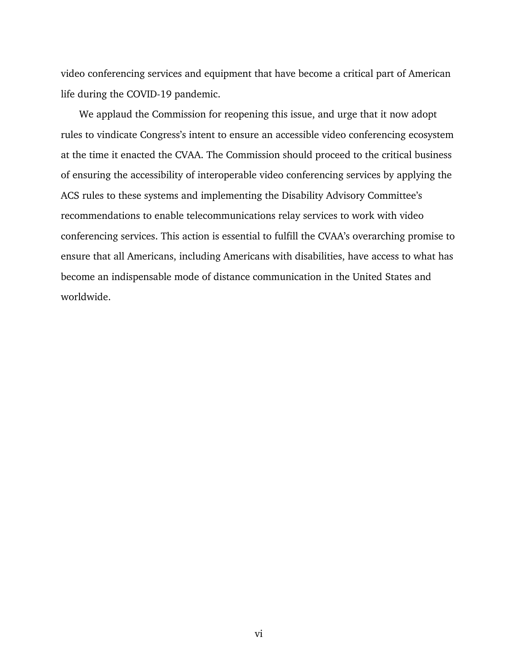video conferencing services and equipment that have become a critical part of American life during the COVID-19 pandemic.

We applaud the Commission for reopening this issue, and urge that it now adopt rules to vindicate Congress's intent to ensure an accessible video conferencing ecosystem at the time it enacted the CVAA. The Commission should proceed to the critical business of ensuring the accessibility of interoperable video conferencing services by applying the ACS rules to these systems and implementing the Disability Advisory Committee's recommendations to enable telecommunications relay services to work with video conferencing services. This action is essential to fulfill the CVAA's overarching promise to ensure that all Americans, including Americans with disabilities, have access to what has become an indispensable mode of distance communication in the United States and worldwide.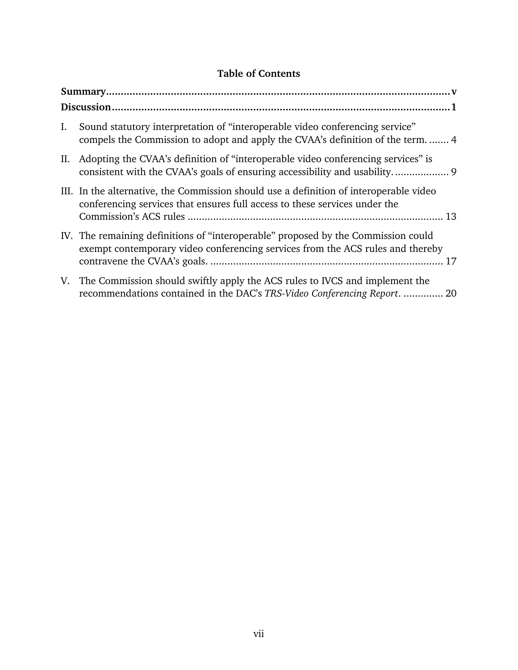# **Table of Contents**

| Ι. | Sound statutory interpretation of "interoperable video conferencing service"<br>compels the Commission to adopt and apply the CVAA's definition of the term 4        |
|----|----------------------------------------------------------------------------------------------------------------------------------------------------------------------|
|    | II. Adopting the CVAA's definition of "interoperable video conferencing services" is                                                                                 |
|    | III. In the alternative, the Commission should use a definition of interoperable video<br>conferencing services that ensures full access to these services under the |
|    | IV. The remaining definitions of "interoperable" proposed by the Commission could<br>exempt contemporary video conferencing services from the ACS rules and thereby  |
|    | V. The Commission should swiftly apply the ACS rules to IVCS and implement the<br>recommendations contained in the DAC's TRS-Video Conferencing Report.  20          |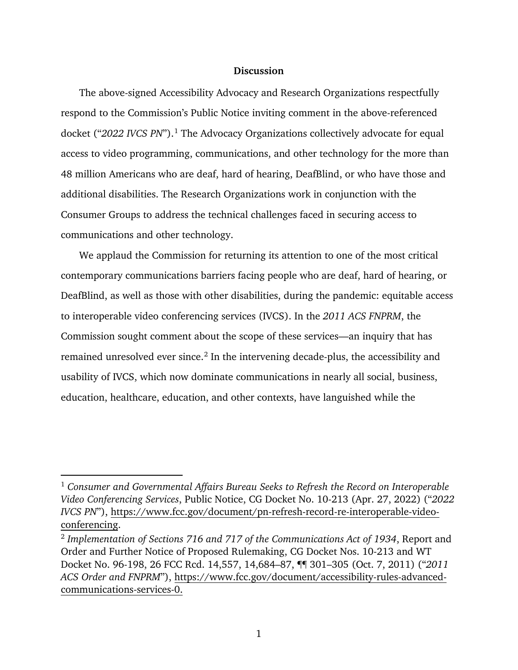#### **Discussion**

<span id="page-7-0"></span>The above-signed Accessibility Advocacy and Research Organizations respectfully respond to the Commission's Public Notice inviting comment in the above-referenced docket ("*2022 IVCS PN*"). [1](#page-7-1) The Advocacy Organizations collectively advocate for equal access to video programming, communications, and other technology for the more than 48 million Americans who are deaf, hard of hearing, DeafBlind, or who have those and additional disabilities. The Research Organizations work in conjunction with the Consumer Groups to address the technical challenges faced in securing access to communications and other technology.

We applaud the Commission for returning its attention to one of the most critical contemporary communications barriers facing people who are deaf, hard of hearing, or DeafBlind, as well as those with other disabilities, during the pandemic: equitable access to interoperable video conferencing services (IVCS). In the *2011 ACS FNPRM*, the Commission sought comment about the scope of these services—an inquiry that has remained unresolved ever since. [2](#page-7-2) In the intervening decade-plus, the accessibility and usability of IVCS, which now dominate communications in nearly all social, business, education, healthcare, education, and other contexts, have languished while the

<span id="page-7-1"></span><sup>1</sup> *Consumer and Governmental Affairs Bureau Seeks to Refresh the Record on Interoperable Video Conferencing Services*, Public Notice, CG Docket No. 10-213 (Apr. 27, 2022) ("*2022 IVCS PN*"), [https://www.fcc.gov/document/pn-refresh-record-re-interoperable-video](https://www.fcc.gov/document/pn-refresh-record-re-interoperable-video-conferencing)[conferencing.](https://www.fcc.gov/document/pn-refresh-record-re-interoperable-video-conferencing)

<span id="page-7-2"></span><sup>2</sup> *Implementation of Sections 716 and 717 of the Communications Act of 1934*, Report and Order and Further Notice of Proposed Rulemaking, CG Docket Nos. 10-213 and WT Docket No. 96-198, 26 FCC Rcd. 14,557, 14,684–87, ¶¶ 301–305 (Oct. 7, 2011) ("*2011 ACS Order and FNPRM*"), [https://www.fcc.gov/document/accessibility-rules-advanced](https://www.fcc.gov/document/accessibility-rules-advanced-communications-services-0)[communications-services-0.](https://www.fcc.gov/document/accessibility-rules-advanced-communications-services-0)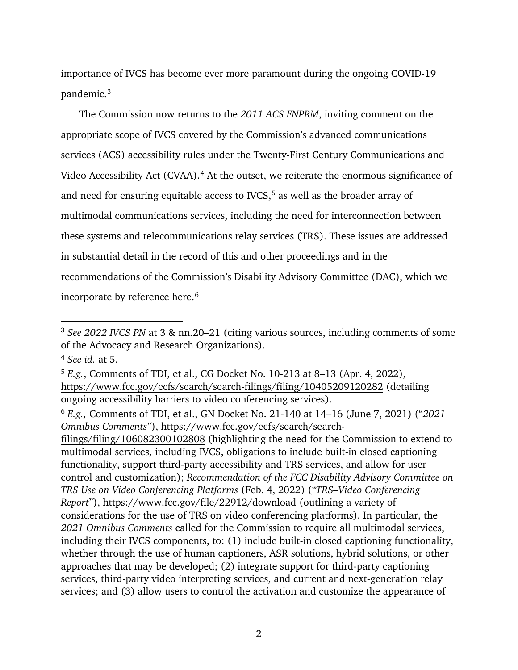importance of IVCS has become ever more paramount during the ongoing COVID-19 pandemic. [3](#page-8-0)

The Commission now returns to the *2011 ACS FNPRM*, inviting comment on the appropriate scope of IVCS covered by the Commission's advanced communications services (ACS) accessibility rules under the Twenty-First Century Communications and Video Accessibility Act (CVAA).<sup>[4](#page-8-1)</sup> At the outset, we reiterate the enormous significance of and need for ensuring equitable access to IVCS, [5](#page-8-2) as well as the broader array of multimodal communications services, including the need for interconnection between these systems and telecommunications relay services (TRS). These issues are addressed in substantial detail in the record of this and other proceedings and in the recommendations of the Commission's Disability Advisory Committee (DAC), which we incorporate by reference here. [6](#page-8-3) 

 $\overline{a}$ 

[filings/filing/106082300102808](https://www.fcc.gov/ecfs/search/search-filings/filing/106082300102808) (highlighting the need for the Commission to extend to multimodal services, including IVCS, obligations to include built-in closed captioning functionality, support third-party accessibility and TRS services, and allow for user control and customization); *Recommendation of the FCC Disability Advisory Committee on TRS Use on Video Conferencing Platforms* (Feb. 4, 2022) ("*TRS–Video Conferencing Report*"),<https://www.fcc.gov/file/22912/download> (outlining a variety of considerations for the use of TRS on video conferencing platforms). In particular, the *2021 Omnibus Comments* called for the Commission to require all multimodal services, including their IVCS components, to: (1) include built-in closed captioning functionality, whether through the use of human captioners, ASR solutions, hybrid solutions, or other approaches that may be developed; (2) integrate support for third-party captioning services, third-party video interpreting services, and current and next-generation relay services; and (3) allow users to control the activation and customize the appearance of

<span id="page-8-0"></span><sup>3</sup> *See 2022 IVCS PN* at 3 & nn.20–21 (citing various sources, including comments of some of the Advocacy and Research Organizations).

<span id="page-8-1"></span><sup>4</sup> *See id.* at 5.

<span id="page-8-2"></span><sup>5</sup> *E.g.*, Comments of TDI, et al., CG Docket No. 10-213 at 8–13 (Apr. 4, 2022), <https://www.fcc.gov/ecfs/search/search-filings/filing/10405209120282>(detailing ongoing accessibility barriers to video conferencing services).

<span id="page-8-3"></span><sup>6</sup> *E.g.,* Comments of TDI, et al., GN Docket No. 21-140 at 14–16 (June 7, 2021) ("*2021 Omnibus Comments*"), [https://www.fcc.gov/ecfs/search/search-](https://www.fcc.gov/ecfs/search/search-filings/filing/106082300102808)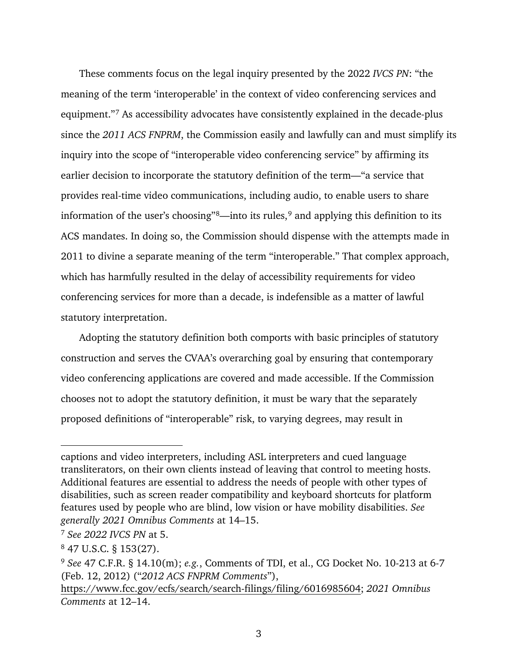These comments focus on the legal inquiry presented by the 2022 *IVCS PN*: "the meaning of the term 'interoperable' in the context of video conferencing services and equipment."[7](#page-9-0) As accessibility advocates have consistently explained in the decade-plus since the *2011 ACS FNPRM*, the Commission easily and lawfully can and must simplify its inquiry into the scope of "interoperable video conferencing service" by affirming its earlier decision to incorporate the statutory definition of the term—"a service that provides real-time video communications, including audio, to enable users to share information of the user's choosing"[8—](#page-9-1)into its rules, [9](#page-9-2) and applying this definition to its ACS mandates. In doing so, the Commission should dispense with the attempts made in 2011 to divine a separate meaning of the term "interoperable." That complex approach, which has harmfully resulted in the delay of accessibility requirements for video conferencing services for more than a decade, is indefensible as a matter of lawful statutory interpretation.

Adopting the statutory definition both comports with basic principles of statutory construction and serves the CVAA's overarching goal by ensuring that contemporary video conferencing applications are covered and made accessible. If the Commission chooses not to adopt the statutory definition, it must be wary that the separately proposed definitions of "interoperable" risk, to varying degrees, may result in

captions and video interpreters, including ASL interpreters and cued language transliterators, on their own clients instead of leaving that control to meeting hosts. Additional features are essential to address the needs of people with other types of disabilities, such as screen reader compatibility and keyboard shortcuts for platform features used by people who are blind, low vision or have mobility disabilities. *See generally 2021 Omnibus Comments* at 14–15.

<span id="page-9-0"></span><sup>7</sup> *See 2022 IVCS PN* at 5.

<span id="page-9-1"></span><sup>8</sup> 47 U.S.C. § 153(27).

<span id="page-9-2"></span><sup>9</sup> *See* 47 C.F.R. § 14.10(m); *e.g.*, Comments of TDI, et al., CG Docket No. 10-213 at 6-7 (Feb. 12, 2012) ("*2012 ACS FNPRM Comments*"),

[https://www.fcc.gov/ecfs/search/search-filings/filing/6016985604;](https://www.fcc.gov/ecfs/search/search-filings/filing/6016985604) *2021 Omnibus Comments* at 12–14.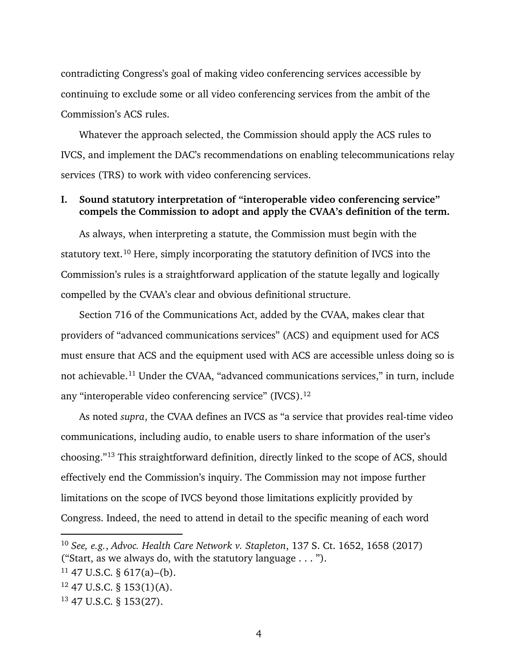contradicting Congress's goal of making video conferencing services accessible by continuing to exclude some or all video conferencing services from the ambit of the Commission's ACS rules.

Whatever the approach selected, the Commission should apply the ACS rules to IVCS, and implement the DAC's recommendations on enabling telecommunications relay services (TRS) to work with video conferencing services.

#### <span id="page-10-0"></span>**I. Sound statutory interpretation of "interoperable video conferencing service" compels the Commission to adopt and apply the CVAA's definition of the term.**

As always, when interpreting a statute, the Commission must begin with the statutory text.<sup>[10](#page-10-1)</sup> Here, simply incorporating the statutory definition of IVCS into the Commission's rules is a straightforward application of the statute legally and logically compelled by the CVAA's clear and obvious definitional structure.

Section 716 of the Communications Act, added by the CVAA, makes clear that providers of "advanced communications services" (ACS) and equipment used for ACS must ensure that ACS and the equipment used with ACS are accessible unless doing so is not achievable.[11](#page-10-2) Under the CVAA, "advanced communications services," in turn, include any "interoperable video conferencing service" (IVCS)[.12](#page-10-3)

As noted *supra*, the CVAA defines an IVCS as "a service that provides real-time video communications, including audio, to enable users to share information of the user's choosing."[13](#page-10-4) This straightforward definition, directly linked to the scope of ACS, should effectively end the Commission's inquiry. The Commission may not impose further limitations on the scope of IVCS beyond those limitations explicitly provided by Congress. Indeed, the need to attend in detail to the specific meaning of each word

<span id="page-10-1"></span><sup>10</sup> *See, e.g.*, *Advoc. Health Care Network v. Stapleton*, 137 S. Ct. 1652, 1658 (2017) ("Start, as we always do, with the statutory language . . . ").

<span id="page-10-2"></span> $11$  47 U.S.C. § 617(a)–(b).

<span id="page-10-3"></span><sup>12</sup> 47 U.S.C. § 153(1)(A).

<span id="page-10-4"></span><sup>13</sup> 47 U.S.C. § 153(27).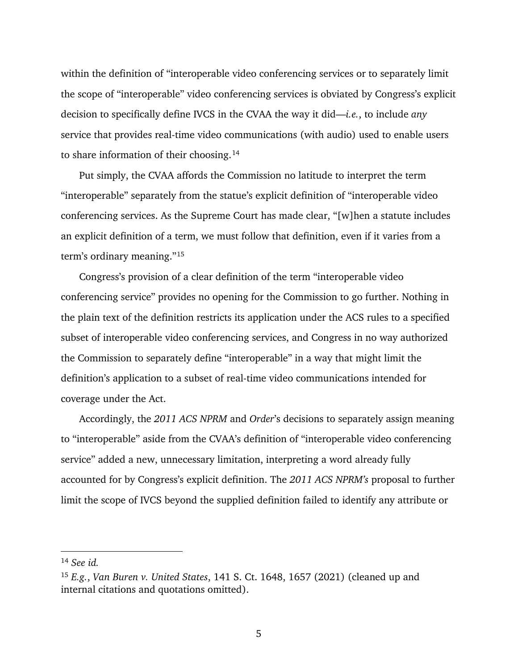within the definition of "interoperable video conferencing services or to separately limit the scope of "interoperable" video conferencing services is obviated by Congress's explicit decision to specifically define IVCS in the CVAA the way it did—*i.e.*, to include *any* service that provides real-time video communications (with audio) used to enable users to share information of their choosing. [14](#page-11-0)

Put simply, the CVAA affords the Commission no latitude to interpret the term "interoperable" separately from the statue's explicit definition of "interoperable video conferencing services. As the Supreme Court has made clear, "[w]hen a statute includes an explicit definition of a term, we must follow that definition, even if it varies from a term's ordinary meaning."[15](#page-11-1)

Congress's provision of a clear definition of the term "interoperable video conferencing service" provides no opening for the Commission to go further. Nothing in the plain text of the definition restricts its application under the ACS rules to a specified subset of interoperable video conferencing services, and Congress in no way authorized the Commission to separately define "interoperable" in a way that might limit the definition's application to a subset of real-time video communications intended for coverage under the Act.

Accordingly, the *2011 ACS NPRM* and *Order*'s decisions to separately assign meaning to "interoperable" aside from the CVAA's definition of "interoperable video conferencing service" added a new, unnecessary limitation, interpreting a word already fully accounted for by Congress's explicit definition. The *2011 ACS NPRM's* proposal to further limit the scope of IVCS beyond the supplied definition failed to identify any attribute or

<span id="page-11-0"></span><sup>14</sup> *See id.*

<span id="page-11-1"></span><sup>15</sup> *E.g.*, *Van Buren v. United States*, 141 S. Ct. 1648, 1657 (2021) (cleaned up and internal citations and quotations omitted).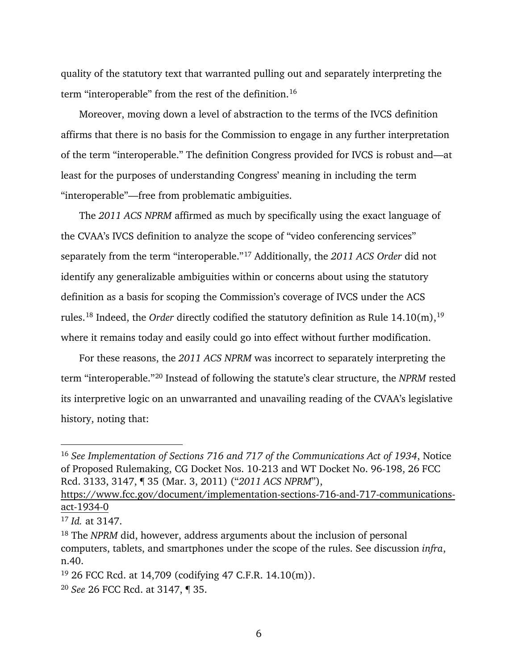quality of the statutory text that warranted pulling out and separately interpreting the term "interoperable" from the rest of the definition.[16](#page-12-0)

Moreover, moving down a level of abstraction to the terms of the IVCS definition affirms that there is no basis for the Commission to engage in any further interpretation of the term "interoperable." The definition Congress provided for IVCS is robust and—at least for the purposes of understanding Congress' meaning in including the term "interoperable"—free from problematic ambiguities.

The *2011 ACS NPRM* affirmed as much by specifically using the exact language of the CVAA's IVCS definition to analyze the scope of "video conferencing services" separately from the term "interoperable."[17](#page-12-1) Additionally, the *2011 ACS Order* did not identify any generalizable ambiguities within or concerns about using the statutory definition as a basis for scoping the Commission's coverage of IVCS under the ACS rules.<sup>[18](#page-12-2)</sup> Indeed, the *Order* directly codified the statutory definition as Rule 14.10(m),<sup>[19](#page-12-3)</sup> where it remains today and easily could go into effect without further modification.

For these reasons, the *2011 ACS NPRM* was incorrect to separately interpreting the term "interoperable."[20](#page-12-4) Instead of following the statute's clear structure, the *NPRM* rested its interpretive logic on an unwarranted and unavailing reading of the CVAA's legislative history, noting that:

<span id="page-12-0"></span><sup>16</sup> *See Implementation of Sections 716 and 717 of the Communications Act of 1934*, Notice of Proposed Rulemaking, CG Docket Nos. 10-213 and WT Docket No. 96-198, 26 FCC Rcd. 3133, 3147, ¶ 35 (Mar. 3, 2011) ("*2011 ACS NPRM*"),

[https://www.fcc.gov/document/implementation-sections-716-and-717-communications](https://www.fcc.gov/document/implementation-sections-716-and-717-communications-act-1934-0)[act-1934-0](https://www.fcc.gov/document/implementation-sections-716-and-717-communications-act-1934-0)

<span id="page-12-1"></span><sup>17</sup> *Id.* at 3147.

<span id="page-12-2"></span><sup>18</sup> The *NPRM* did, however, address arguments about the inclusion of personal computers, tablets, and smartphones under the scope of the rules. See discussion *infra*, n[.40.](#page-18-0)

<span id="page-12-3"></span><sup>&</sup>lt;sup>19</sup> 26 FCC Rcd. at 14,709 (codifying 47 C.F.R. 14.10(m)).

<span id="page-12-4"></span><sup>20</sup> *See* 26 FCC Rcd. at 3147, ¶ 35.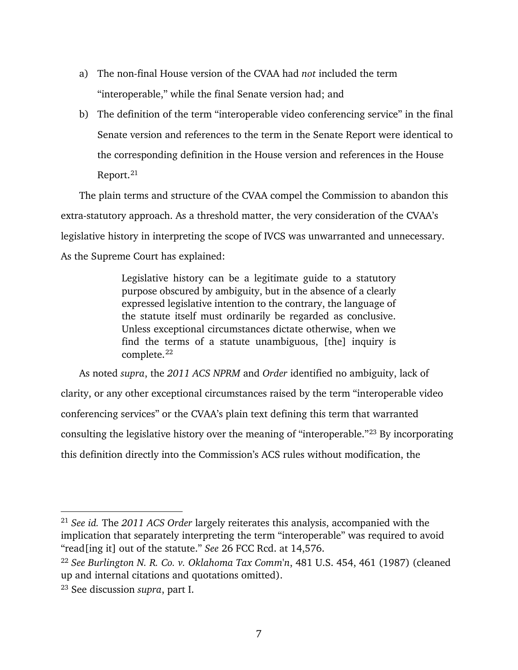- a) The non-final House version of the CVAA had *not* included the term "interoperable," while the final Senate version had; and
- b) The definition of the term "interoperable video conferencing service" in the final Senate version and references to the term in the Senate Report were identical to the corresponding definition in the House version and references in the House Report.<sup>[21](#page-13-0)</sup>

The plain terms and structure of the CVAA compel the Commission to abandon this extra-statutory approach. As a threshold matter, the very consideration of the CVAA's legislative history in interpreting the scope of IVCS was unwarranted and unnecessary. As the Supreme Court has explained:

> Legislative history can be a legitimate guide to a statutory purpose obscured by ambiguity, but in the absence of a clearly expressed legislative intention to the contrary, the language of the statute itself must ordinarily be regarded as conclusive. Unless exceptional circumstances dictate otherwise, when we find the terms of a statute unambiguous, [the] inquiry is complete.<sup>[22](#page-13-1)</sup>

As noted *supra*, the *2011 ACS NPRM* and *Order* identified no ambiguity, lack of clarity, or any other exceptional circumstances raised by the term "interoperable video conferencing services" or the CVAA's plain text defining this term that warranted consulting the legislative history over the meaning of "interoperable."[23](#page-13-2) By incorporating this definition directly into the Commission's ACS rules without modification, the

<span id="page-13-0"></span><sup>21</sup> *See id.* The *2011 ACS Order* largely reiterates this analysis, accompanied with the implication that separately interpreting the term "interoperable" was required to avoid "read[ing it] out of the statute." *See* 26 FCC Rcd. at 14,576.

<span id="page-13-1"></span><sup>22</sup> *See Burlington N. R. Co. v. Oklahoma Tax Comm'n*, 481 U.S. 454, 461 (1987) (cleaned up and internal citations and quotations omitted).

<span id="page-13-2"></span><sup>23</sup> See discussion *supra*, part I.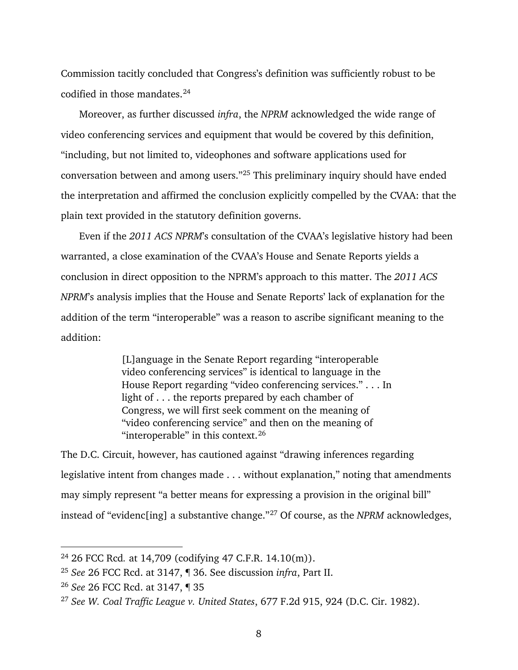Commission tacitly concluded that Congress's definition was sufficiently robust to be codified in those mandates. [24](#page-14-0)

Moreover, as further discussed *infra*, the *NPRM* acknowledged the wide range of video conferencing services and equipment that would be covered by this definition, "including, but not limited to, videophones and software applications used for conversation between and among users."[25](#page-14-1) This preliminary inquiry should have ended the interpretation and affirmed the conclusion explicitly compelled by the CVAA: that the plain text provided in the statutory definition governs.

Even if the *2011 ACS NPRM*'s consultation of the CVAA's legislative history had been warranted, a close examination of the CVAA's House and Senate Reports yields a conclusion in direct opposition to the NPRM's approach to this matter. The *2011 ACS NPRM*'s analysis implies that the House and Senate Reports' lack of explanation for the addition of the term "interoperable" was a reason to ascribe significant meaning to the addition:

> [L]anguage in the Senate Report regarding "interoperable video conferencing services" is identical to language in the House Report regarding "video conferencing services." . . . In light of . . . the reports prepared by each chamber of Congress, we will first seek comment on the meaning of "video conferencing service" and then on the meaning of "interoperable" in this context.  $26$

The D.C. Circuit, however, has cautioned against "drawing inferences regarding legislative intent from changes made . . . without explanation," noting that amendments may simply represent "a better means for expressing a provision in the original bill" instead of "evidenc[ing] a substantive change."[27](#page-14-3) Of course, as the *NPRM* acknowledges,

<span id="page-14-0"></span><sup>24</sup> 26 FCC Rcd*.* at 14,709 (codifying 47 C.F.R. 14.10(m)).

<span id="page-14-1"></span><sup>25</sup> *See* 26 FCC Rcd. at 3147, ¶ 36. See discussion *infra*, Part [II.](#page-15-0)

<span id="page-14-2"></span><sup>26</sup> *See* 26 FCC Rcd. at 3147, ¶ 35

<span id="page-14-3"></span><sup>27</sup> *See W. Coal Traffic League v. United States*, 677 F.2d 915, 924 (D.C. Cir. 1982).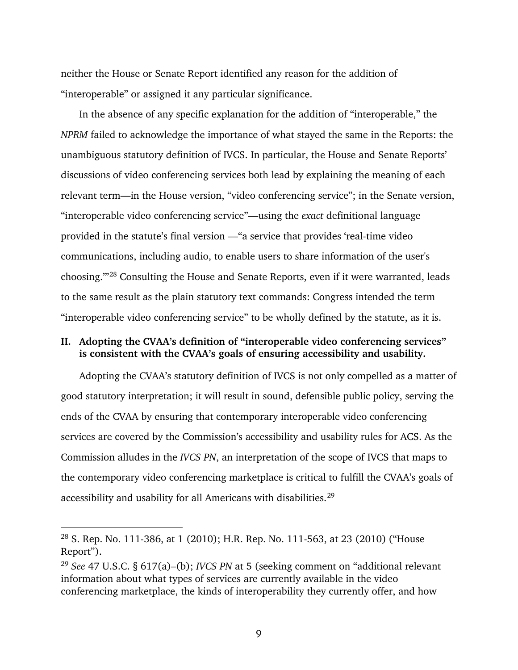neither the House or Senate Report identified any reason for the addition of "interoperable" or assigned it any particular significance.

In the absence of any specific explanation for the addition of "interoperable," the *NPRM* failed to acknowledge the importance of what stayed the same in the Reports: the unambiguous statutory definition of IVCS. In particular, the House and Senate Reports' discussions of video conferencing services both lead by explaining the meaning of each relevant term—in the House version, "video conferencing service"; in the Senate version, "interoperable video conferencing service"—using the *exact* definitional language provided in the statute's final version —"a service that provides 'real-time video communications, including audio, to enable users to share information of the user's choosing.'"[28](#page-15-1) Consulting the House and Senate Reports, even if it were warranted, leads to the same result as the plain statutory text commands: Congress intended the term "interoperable video conferencing service" to be wholly defined by the statute, as it is.

#### <span id="page-15-0"></span>**II. Adopting the CVAA's definition of "interoperable video conferencing services" is consistent with the CVAA's goals of ensuring accessibility and usability.**

Adopting the CVAA's statutory definition of IVCS is not only compelled as a matter of good statutory interpretation; it will result in sound, defensible public policy, serving the ends of the CVAA by ensuring that contemporary interoperable video conferencing services are covered by the Commission's accessibility and usability rules for ACS. As the Commission alludes in the *IVCS PN*, an interpretation of the scope of IVCS that maps to the contemporary video conferencing marketplace is critical to fulfill the CVAA's goals of accessibility and usability for all Americans with disabilities.<sup>[29](#page-15-2)</sup>

<span id="page-15-1"></span><sup>&</sup>lt;sup>28</sup> S. Rep. No. 111-386, at 1 (2010); H.R. Rep. No. 111-563, at 23 (2010) ("House Report").

<span id="page-15-2"></span><sup>29</sup> *See* 47 U.S.C. § 617(a)–(b); *IVCS PN* at 5 (seeking comment on "additional relevant information about what types of services are currently available in the video conferencing marketplace, the kinds of interoperability they currently offer, and how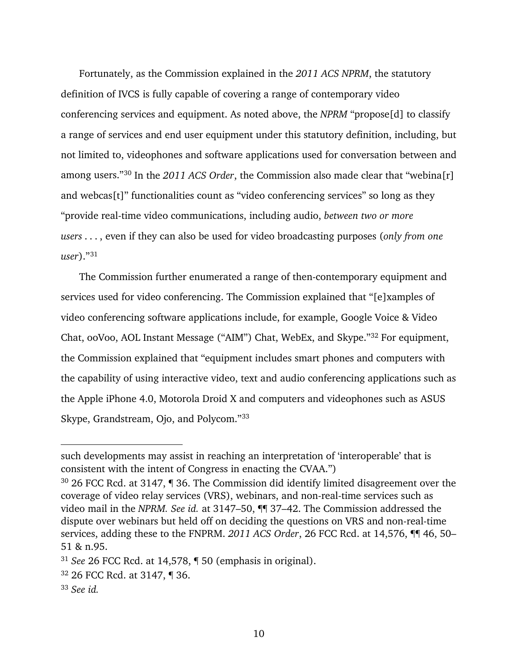Fortunately, as the Commission explained in the *2011 ACS NPRM*, the statutory definition of IVCS is fully capable of covering a range of contemporary video conferencing services and equipment. As noted above, the *NPRM* "propose[d] to classify a range of services and end user equipment under this statutory definition, including, but not limited to, videophones and software applications used for conversation between and among users."[30](#page-16-0) In the *2011 ACS Order*, the Commission also made clear that "webina[r] and webcas[t]" functionalities count as "video conferencing services" so long as they "provide real-time video communications, including audio, *between two or more users* . . . , even if they can also be used for video broadcasting purposes (*only from one user*)."[31](#page-16-1)

The Commission further enumerated a range of then-contemporary equipment and services used for video conferencing. The Commission explained that "[e]xamples of video conferencing software applications include, for example, Google Voice & Video Chat, ooVoo, AOL Instant Message ("AIM") Chat, WebEx, and Skype.["32](#page-16-2) For equipment, the Commission explained that "equipment includes smart phones and computers with the capability of using interactive video, text and audio conferencing applications such as the Apple iPhone 4.0, Motorola Droid X and computers and videophones such as ASUS Skype, Grandstream, Ojo, and Polycom."[33](#page-16-3)

such developments may assist in reaching an interpretation of 'interoperable' that is consistent with the intent of Congress in enacting the CVAA.")

<span id="page-16-0"></span><sup>30</sup> 26 FCC Rcd. at 3147, ¶ 36. The Commission did identify limited disagreement over the coverage of video relay services (VRS), webinars, and non-real-time services such as video mail in the *NPRM. See id.* at 3147–50, ¶¶ 37–42. The Commission addressed the dispute over webinars but held off on deciding the questions on VRS and non-real-time services, adding these to the FNPRM. *2011 ACS Order*, 26 FCC Rcd. at 14,576, ¶¶ 46, 50– 51 & n.95.

<span id="page-16-1"></span><sup>31</sup> *See* 26 FCC Rcd. at 14,578, ¶ 50 (emphasis in original).

<span id="page-16-2"></span><sup>32</sup> 26 FCC Rcd. at 3147, ¶ 36.

<span id="page-16-3"></span><sup>33</sup> *See id.*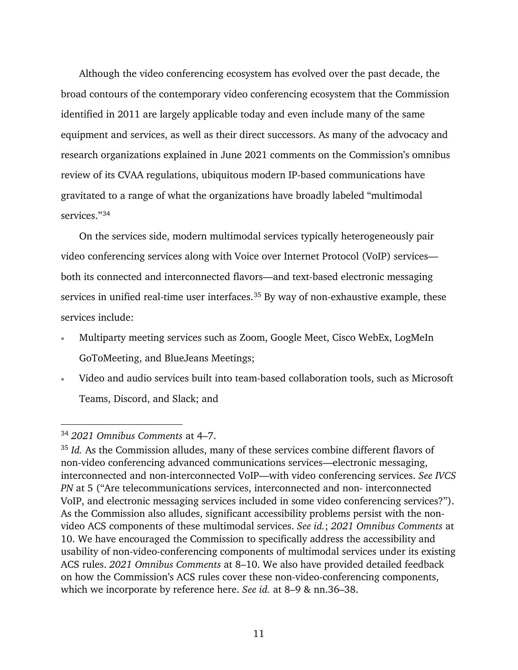Although the video conferencing ecosystem has evolved over the past decade, the broad contours of the contemporary video conferencing ecosystem that the Commission identified in 2011 are largely applicable today and even include many of the same equipment and services, as well as their direct successors. As many of the advocacy and research organizations explained in June 2021 comments on the Commission's omnibus review of its CVAA regulations, ubiquitous modern IP-based communications have gravitated to a range of what the organizations have broadly labeled "multimodal services."[34](#page-17-0)

On the services side, modern multimodal services typically heterogeneously pair video conferencing services along with Voice over Internet Protocol (VoIP) services both its connected and interconnected flavors—and text-based electronic messaging services in unified real-time user interfaces.<sup>[35](#page-17-1)</sup> By way of non-exhaustive example, these services include:

- Multiparty meeting services such as Zoom, Google Meet, Cisco WebEx, LogMeIn GoToMeeting, and BlueJeans Meetings;
- Video and audio services built into team-based collaboration tools, such as Microsoft Teams, Discord, and Slack; and

<span id="page-17-0"></span><sup>34</sup> *2021 Omnibus Comments* at 4–7.

<span id="page-17-1"></span><sup>&</sup>lt;sup>35</sup> *Id.* As the Commission alludes, many of these services combine different flavors of non-video conferencing advanced communications services—electronic messaging, interconnected and non-interconnected VoIP—with video conferencing services. *See IVCS PN* at 5 ("Are telecommunications services, interconnected and non- interconnected VoIP, and electronic messaging services included in some video conferencing services?"). As the Commission also alludes, significant accessibility problems persist with the nonvideo ACS components of these multimodal services. *See id.*; *2021 Omnibus Comments* at 10. We have encouraged the Commission to specifically address the accessibility and usability of non-video-conferencing components of multimodal services under its existing ACS rules. *2021 Omnibus Comments* at 8–10. We also have provided detailed feedback on how the Commission's ACS rules cover these non-video-conferencing components, which we incorporate by reference here. *See id.* at 8–9 & nn.36–38.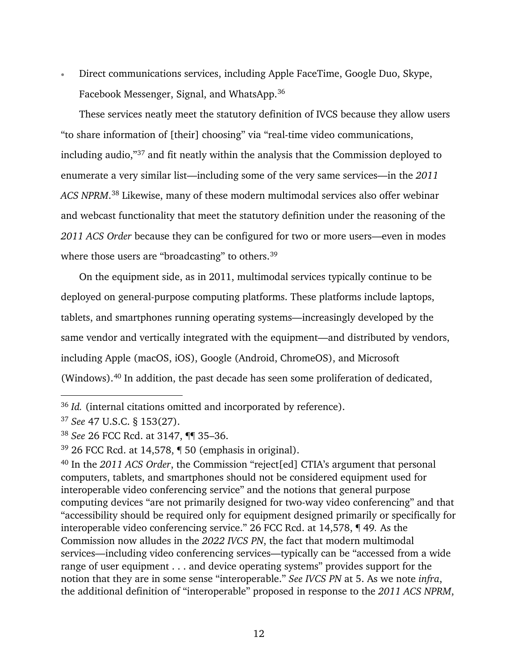• Direct communications services, including Apple FaceTime, Google Duo, Skype, Facebook Messenger, Signal, and WhatsApp. [36](#page-18-1)

These services neatly meet the statutory definition of IVCS because they allow users "to share information of [their] choosing" via "real-time video communications, including audio,["37](#page-18-2) and fit neatly within the analysis that the Commission deployed to enumerate a very similar list—including some of the very same services—in the *2011 ACS NPRM*. [38](#page-18-3) Likewise, many of these modern multimodal services also offer webinar and webcast functionality that meet the statutory definition under the reasoning of the *2011 ACS Order* because they can be configured for two or more users—even in modes where those users are "broadcasting" to others.<sup>[39](#page-18-4)</sup>

On the equipment side, as in 2011, multimodal services typically continue to be deployed on general-purpose computing platforms. These platforms include laptops, tablets, and smartphones running operating systems—increasingly developed by the same vendor and vertically integrated with the equipment—and distributed by vendors, including Apple (macOS, iOS), Google (Android, ChromeOS), and Microsoft (Windows).[40](#page-18-5) In addition, the past decade has seen some proliferation of dedicated,

<span id="page-18-1"></span><span id="page-18-0"></span><sup>36</sup> *Id.* (internal citations omitted and incorporated by reference).

<span id="page-18-2"></span><sup>37</sup> *See* 47 U.S.C. § 153(27).

<span id="page-18-3"></span><sup>38</sup> *See* 26 FCC Rcd. at 3147, ¶¶ 35–36.

<span id="page-18-4"></span> $39$  26 FCC Rcd. at 14,578,  $\P$  50 (emphasis in original).

<span id="page-18-5"></span><sup>40</sup> In the *2011 ACS Order*, the Commission "reject[ed] CTIA's argument that personal computers, tablets, and smartphones should not be considered equipment used for interoperable video conferencing service" and the notions that general purpose computing devices "are not primarily designed for two-way video conferencing" and that "accessibility should be required only for equipment designed primarily or specifically for interoperable video conferencing service." 26 FCC Rcd. at 14,578, ¶ 49*.* As the Commission now alludes in the *2022 IVCS PN*, the fact that modern multimodal services—including video conferencing services—typically can be "accessed from a wide range of user equipment . . . and device operating systems" provides support for the notion that they are in some sense "interoperable." *See IVCS PN* at 5. As we note *infra*, the additional definition of "interoperable" proposed in response to the *2011 ACS NPRM*,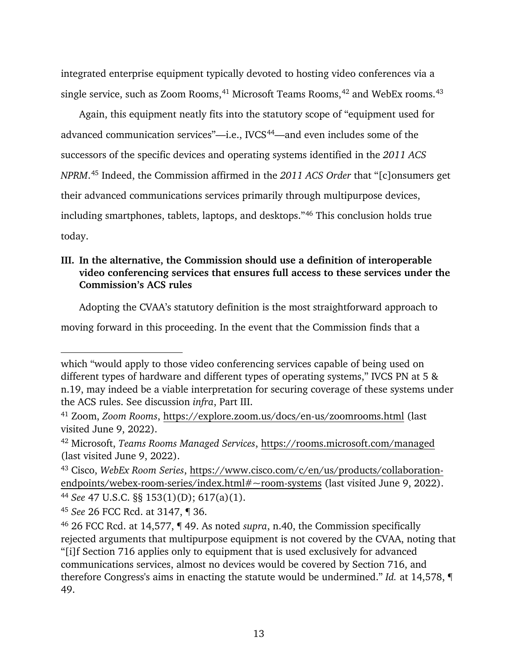integrated enterprise equipment typically devoted to hosting video conferences via a single service, such as Zoom Rooms,  $41$  Microsoft Teams Rooms,  $42$  and WebEx rooms.  $43$ 

Again, this equipment neatly fits into the statutory scope of "equipment used for advanced communication services"-i.e., IVCS<sup>44</sup>-and even includes some of the successors of the specific devices and operating systems identified in the *2011 ACS NPRM*. [45](#page-19-5) Indeed, the Commission affirmed in the *2011 ACS Order* that "[c]onsumers get their advanced communications services primarily through multipurpose devices, including smartphones, tablets, laptops, and desktops."[46](#page-19-6) This conclusion holds true today.

## <span id="page-19-0"></span>**III. In the alternative, the Commission should use a definition of interoperable video conferencing services that ensures full access to these services under the Commission's ACS rules**

Adopting the CVAA's statutory definition is the most straightforward approach to

<span id="page-19-4"></span><sup>44</sup> *See* 47 U.S.C. §§ 153(1)(D); 617(a)(1).

moving forward in this proceeding. In the event that the Commission finds that a

which "would apply to those video conferencing services capable of being used on different types of hardware and different types of operating systems," IVCS PN at 5 & n.19, may indeed be a viable interpretation for securing coverage of these systems under the ACS rules. See discussion *infra*, Part [III.](#page-19-0)

<span id="page-19-1"></span><sup>41</sup> Zoom, *Zoom Rooms*,<https://explore.zoom.us/docs/en-us/zoomrooms.html> (last visited June 9, 2022).

<span id="page-19-2"></span><sup>42</sup> Microsoft, *Teams Rooms Managed Services*,<https://rooms.microsoft.com/managed> (last visited June 9, 2022).

<span id="page-19-3"></span><sup>43</sup> Cisco, *WebEx Room Series*, [https://www.cisco.com/c/en/us/products/collaboration](https://www.cisco.com/c/en/us/products/collaboration-endpoints/webex-room-series/index.html#%7Eroom-systems)[endpoints/webex-room-series/index.html#~room-systems](https://www.cisco.com/c/en/us/products/collaboration-endpoints/webex-room-series/index.html#%7Eroom-systems) (last visited June 9, 2022).

<span id="page-19-5"></span><sup>45</sup> *See* 26 FCC Rcd. at 3147, ¶ 36.

<span id="page-19-6"></span><sup>46</sup> 26 FCC Rcd. at 14,577, ¶ 49. As noted *supra*, n[.40,](#page-18-0) the Commission specifically rejected arguments that multipurpose equipment is not covered by the CVAA, noting that "[i]f Section 716 applies only to equipment that is used exclusively for advanced communications services, almost no devices would be covered by Section 716, and therefore Congress's aims in enacting the statute would be undermined." *Id.* at 14,578, ¶ 49.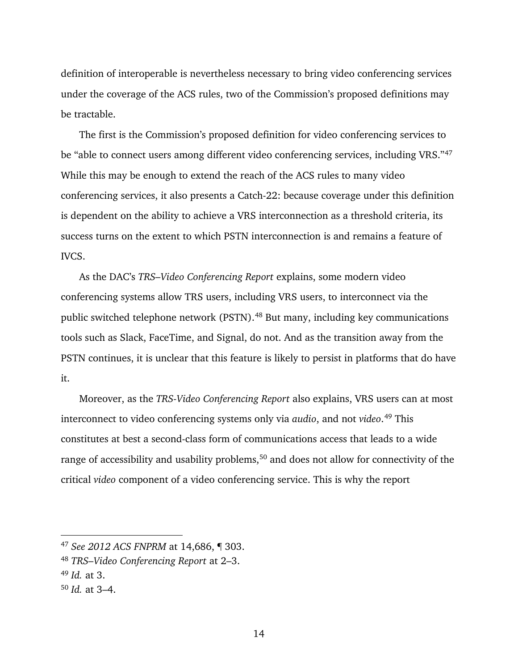definition of interoperable is nevertheless necessary to bring video conferencing services under the coverage of the ACS rules, two of the Commission's proposed definitions may be tractable.

The first is the Commission's proposed definition for video conferencing services to be "able to connect users among different video conferencing services, including VRS."[47](#page-20-0) While this may be enough to extend the reach of the ACS rules to many video conferencing services, it also presents a Catch-22: because coverage under this definition is dependent on the ability to achieve a VRS interconnection as a threshold criteria, its success turns on the extent to which PSTN interconnection is and remains a feature of IVCS.

As the DAC's *TRS–Video Conferencing Report* explains, some modern video conferencing systems allow TRS users, including VRS users, to interconnect via the public switched telephone network (PSTN).[48](#page-20-1) But many, including key communications tools such as Slack, FaceTime, and Signal, do not. And as the transition away from the PSTN continues, it is unclear that this feature is likely to persist in platforms that do have it.

Moreover, as the *TRS-Video Conferencing Report* also explains, VRS users can at most interconnect to video conferencing systems only via *audio*, and not *video*. [49](#page-20-2) This constitutes at best a second-class form of communications access that leads to a wide range of accessibility and usability problems,<sup>[50](#page-20-3)</sup> and does not allow for connectivity of the critical *video* component of a video conferencing service. This is why the report

<span id="page-20-0"></span><sup>47</sup> *See 2012 ACS FNPRM* at 14,686, ¶ 303.

<span id="page-20-1"></span><sup>48</sup> *TRS–Video Conferencing Report* at 2–3.

<span id="page-20-2"></span><sup>49</sup> *Id.* at 3.

<span id="page-20-3"></span><sup>50</sup> *Id.* at 3–4.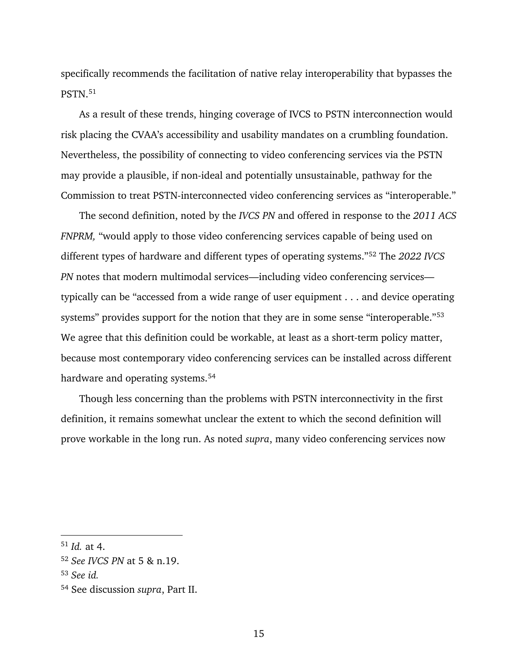specifically recommends the facilitation of native relay interoperability that bypasses the PSTN.[51](#page-21-0)

As a result of these trends, hinging coverage of IVCS to PSTN interconnection would risk placing the CVAA's accessibility and usability mandates on a crumbling foundation. Nevertheless, the possibility of connecting to video conferencing services via the PSTN may provide a plausible, if non-ideal and potentially unsustainable, pathway for the Commission to treat PSTN-interconnected video conferencing services as "interoperable."

The second definition, noted by the *IVCS PN* and offered in response to the *2011 ACS FNPRM,* "would apply to those video conferencing services capable of being used on different types of hardware and different types of operating systems."[52](#page-21-1) The *2022 IVCS PN* notes that modern multimodal services—including video conferencing services typically can be "accessed from a wide range of user equipment . . . and device operating systems" provides support for the notion that they are in some sense "interoperable."[53](#page-21-2) We agree that this definition could be workable, at least as a short-term policy matter, because most contemporary video conferencing services can be installed across different hardware and operating systems.<sup>[54](#page-21-3)</sup>

Though less concerning than the problems with PSTN interconnectivity in the first definition, it remains somewhat unclear the extent to which the second definition will prove workable in the long run. As noted *supra*, many video conferencing services now

<span id="page-21-0"></span><sup>51</sup> *Id.* at 4.

<span id="page-21-1"></span><sup>52</sup> *See IVCS PN* at 5 & n.19.

<span id="page-21-2"></span><sup>53</sup> *See id.*

<span id="page-21-3"></span><sup>54</sup> See discussion *supra*, Part [II.](#page-15-0)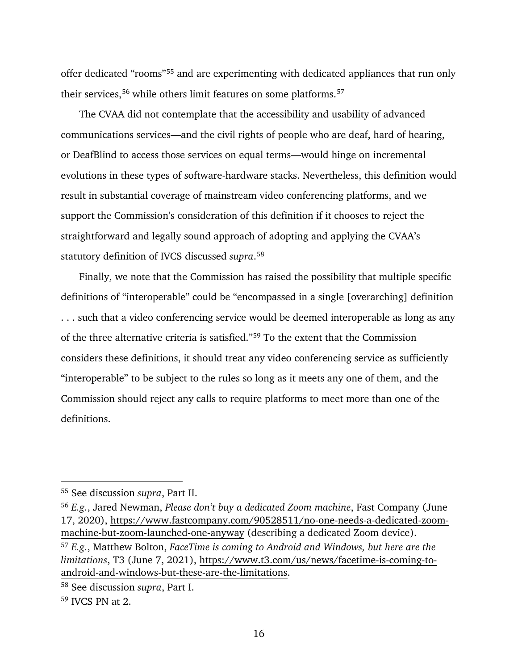offer dedicated "rooms"[55](#page-22-0) and are experimenting with dedicated appliances that run only their services,<sup>[56](#page-22-1)</sup> while others limit features on some platforms.<sup>[57](#page-22-2)</sup>

The CVAA did not contemplate that the accessibility and usability of advanced communications services—and the civil rights of people who are deaf, hard of hearing, or DeafBlind to access those services on equal terms—would hinge on incremental evolutions in these types of software-hardware stacks. Nevertheless, this definition would result in substantial coverage of mainstream video conferencing platforms, and we support the Commission's consideration of this definition if it chooses to reject the straightforward and legally sound approach of adopting and applying the CVAA's statutory definition of IVCS discussed *supra*. [58](#page-22-3)

Finally, we note that the Commission has raised the possibility that multiple specific definitions of "interoperable" could be "encompassed in a single [overarching] definition . . . such that a video conferencing service would be deemed interoperable as long as any of the three alternative criteria is satisfied."[59](#page-22-4) To the extent that the Commission considers these definitions, it should treat any video conferencing service as sufficiently "interoperable" to be subject to the rules so long as it meets any one of them, and the Commission should reject any calls to require platforms to meet more than one of the definitions.

<span id="page-22-0"></span><sup>55</sup> See discussion *supra*, Part [II.](#page-15-0)

<span id="page-22-2"></span><span id="page-22-1"></span><sup>56</sup> *E.g.*, Jared Newman, *Please don't buy a dedicated Zoom machine*, Fast Company (June 17, 2020), [https://www.fastcompany.com/90528511/no-one-needs-a-dedicated-zoom](https://www.fastcompany.com/90528511/no-one-needs-a-dedicated-zoom-machine-but-zoom-launched-one-anyway)[machine-but-zoom-launched-one-anyway](https://www.fastcompany.com/90528511/no-one-needs-a-dedicated-zoom-machine-but-zoom-launched-one-anyway) (describing a dedicated Zoom device). <sup>57</sup> *E.g.*, Matthew Bolton, *FaceTime is coming to Android and Windows, but here are the limitations*, T3 (June 7, 2021), [https://www.t3.com/us/news/facetime-is-coming-to](https://www.t3.com/us/news/facetime-is-coming-to-android-and-windows-but-these-are-the-limitations)[android-and-windows-but-these-are-the-limitations.](https://www.t3.com/us/news/facetime-is-coming-to-android-and-windows-but-these-are-the-limitations)

<span id="page-22-3"></span><sup>58</sup> See discussion *supra*, Part [I.](#page-10-0)

<span id="page-22-4"></span><sup>59</sup> IVCS PN at 2.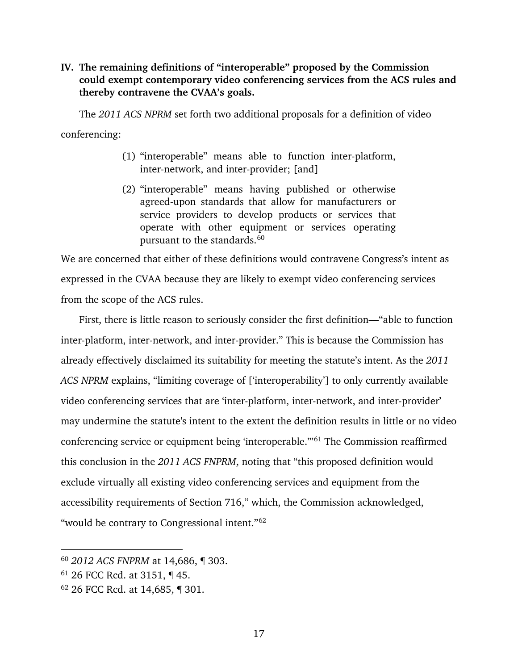#### <span id="page-23-0"></span>**IV. The remaining definitions of "interoperable" proposed by the Commission could exempt contemporary video conferencing services from the ACS rules and thereby contravene the CVAA's goals.**

The *2011 ACS NPRM* set forth two additional proposals for a definition of video conferencing:

- (1) "interoperable" means able to function inter-platform, inter-network, and inter-provider; [and]
- (2) "interoperable" means having published or otherwise agreed-upon standards that allow for manufacturers or service providers to develop products or services that operate with other equipment or services operating pursuant to the standards. [60](#page-23-1)

We are concerned that either of these definitions would contravene Congress's intent as expressed in the CVAA because they are likely to exempt video conferencing services from the scope of the ACS rules.

First, there is little reason to seriously consider the first definition—"able to function inter-platform, inter-network, and inter-provider." This is because the Commission has already effectively disclaimed its suitability for meeting the statute's intent. As the *2011 ACS NPRM* explains, "limiting coverage of ['interoperability'] to only currently available video conferencing services that are 'inter-platform, inter-network, and inter-provider' may undermine the statute's intent to the extent the definition results in little or no video conferencing service or equipment being 'interoperable.'"[61](#page-23-2) The Commission reaffirmed this conclusion in the *2011 ACS FNPRM*, noting that "this proposed definition would exclude virtually all existing video conferencing services and equipment from the accessibility requirements of Section 716," which, the Commission acknowledged, "would be contrary to Congressional intent."[62](#page-23-3)

 $\overline{a}$ 

17

<span id="page-23-1"></span><sup>60</sup> *2012 ACS FNPRM* at 14,686, ¶ 303.

<span id="page-23-2"></span><sup>61</sup> 26 FCC Rcd. at 3151, ¶ 45.

<span id="page-23-3"></span><sup>62</sup> 26 FCC Rcd. at 14,685, ¶ 301.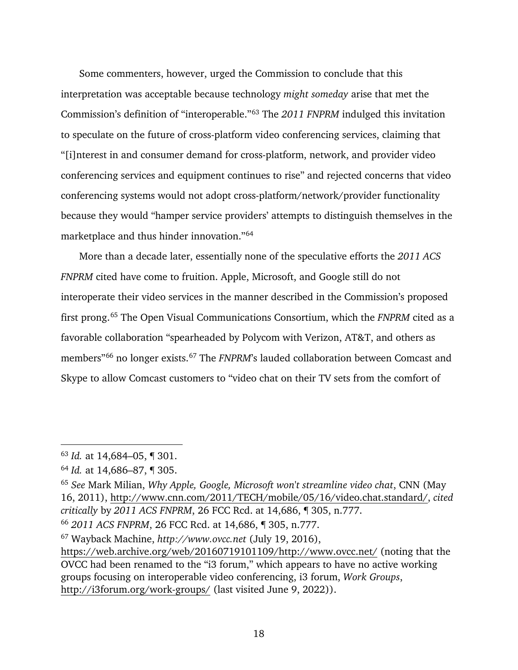Some commenters, however, urged the Commission to conclude that this interpretation was acceptable because technology *might someday* arise that met the Commission's definition of "interoperable."[63](#page-24-0) The *2011 FNPRM* indulged this invitation to speculate on the future of cross-platform video conferencing services, claiming that "[i]nterest in and consumer demand for cross-platform, network, and provider video conferencing services and equipment continues to rise" and rejected concerns that video conferencing systems would not adopt cross-platform/network/provider functionality because they would "hamper service providers' attempts to distinguish themselves in the marketplace and thus hinder innovation."[64](#page-24-1)

More than a decade later, essentially none of the speculative efforts the *2011 ACS FNPRM* cited have come to fruition. Apple, Microsoft, and Google still do not interoperate their video services in the manner described in the Commission's proposed first prong. [65](#page-24-2) The Open Visual Communications Consortium, which the *FNPRM* cited as a favorable collaboration "spearheaded by Polycom with Verizon, AT&T, and others as members"[66](#page-24-3) no longer exists.[67](#page-24-4) The *FNPRM*'s lauded collaboration between Comcast and Skype to allow Comcast customers to "video chat on their TV sets from the comfort of

<span id="page-24-0"></span><sup>63</sup> *Id.* at 14,684–05, ¶ 301.

<span id="page-24-1"></span><sup>64</sup> *Id.* at 14,686–87, ¶ 305.

<span id="page-24-2"></span><sup>65</sup> *See* Mark Milian, *Why Apple, Google, Microsoft won't streamline video chat*, CNN (May 16, 2011), [http://www.cnn.com/2011/TECH/mobile/05/16/video.chat.standard/,](http://www.cnn.com/2011/TECH/mobile/05/16/video.chat.standard/) *cited critically* by *2011 ACS FNPRM*, 26 FCC Rcd. at 14,686, ¶ 305, n.777. <sup>66</sup> *2011 ACS FNPRM*, 26 FCC Rcd. at 14,686, ¶ 305, n.777.

<span id="page-24-4"></span><span id="page-24-3"></span><sup>67</sup> Wayback Machine, *[http://www.ovcc.net](http://www.ovcc.net/)* (July 19, 2016),

[https://web.archive.org/web/20160719101109/http://www.ovcc.net/](https://web.archive.org/web/20160719101109/http:/www.ovcc.net/) (noting that the OVCC had been renamed to the "i3 forum," which appears to have no active working groups focusing on interoperable video conferencing, i3 forum, *Work Groups*, <http://i3forum.org/work-groups/> (last visited June 9, 2022)).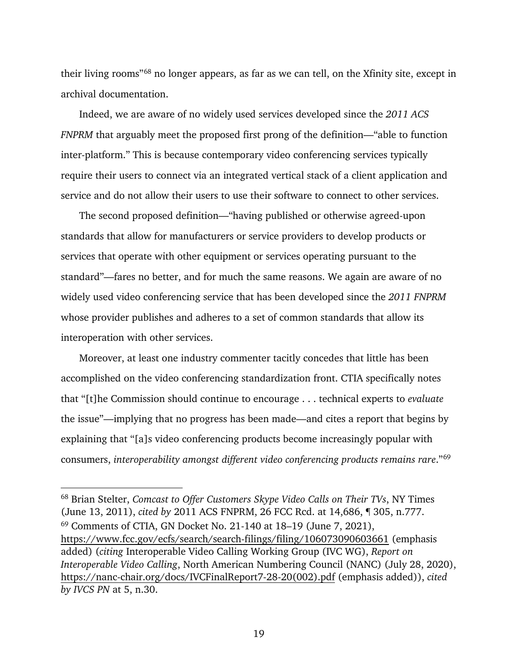their living rooms"[68](#page-25-0) no longer appears, as far as we can tell, on the Xfinity site, except in archival documentation.

Indeed, we are aware of no widely used services developed since the *2011 ACS FNPRM* that arguably meet the proposed first prong of the definition—"able to function inter-platform." This is because contemporary video conferencing services typically require their users to connect via an integrated vertical stack of a client application and service and do not allow their users to use their software to connect to other services.

The second proposed definition—"having published or otherwise agreed-upon standards that allow for manufacturers or service providers to develop products or services that operate with other equipment or services operating pursuant to the standard"—fares no better, and for much the same reasons. We again are aware of no widely used video conferencing service that has been developed since the *2011 FNPRM* whose provider publishes and adheres to a set of common standards that allow its interoperation with other services.

Moreover, at least one industry commenter tacitly concedes that little has been accomplished on the video conferencing standardization front. CTIA specifically notes that "[t]he Commission should continue to encourage . . . technical experts to *evaluate* the issue"—implying that no progress has been made—and cites a report that begins by explaining that "[a]s video conferencing products become increasingly popular with consumers, *interoperability amongst different video conferencing products remains rare*."[69](#page-25-1)

<span id="page-25-1"></span><span id="page-25-0"></span><sup>68</sup> Brian Stelter, *Comcast to Offer Customers Skype Video Calls on Their TVs*, NY Times (June 13, 2011), *cited by* 2011 ACS FNPRM, 26 FCC Rcd. at 14,686, ¶ 305, n.777. <sup>69</sup> Comments of CTIA, GN Docket No. 21-140 at 18–19 (June 7, 2021), <https://www.fcc.gov/ecfs/search/search-filings/filing/106073090603661>(emphasis added) (*citing* Interoperable Video Calling Working Group (IVC WG), *Report on Interoperable Video Calling*, North American Numbering Council (NANC) (July 28, 2020), [https://nanc-chair.org/docs/IVCFinalReport7-28-20\(002\).pdf](https://nanc-chair.org/docs/IVCFinalReport7-28-20(002).pdf) (emphasis added)), *cited by IVCS PN* at 5, n.30.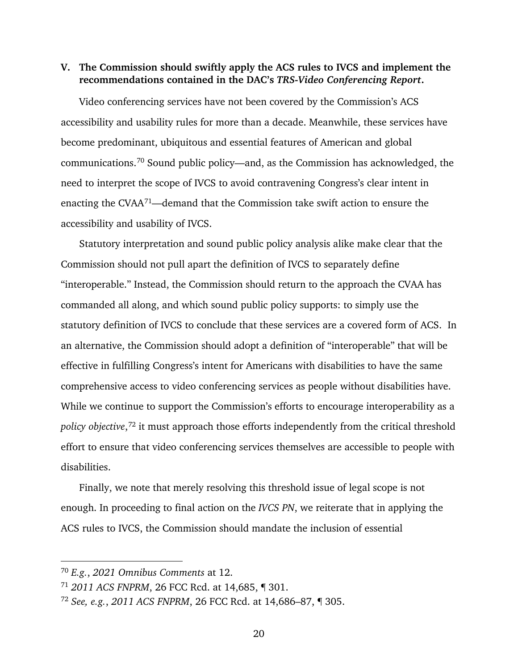#### <span id="page-26-0"></span>**V. The Commission should swiftly apply the ACS rules to IVCS and implement the recommendations contained in the DAC's** *TRS-Video Conferencing Report***.**

Video conferencing services have not been covered by the Commission's ACS accessibility and usability rules for more than a decade. Meanwhile, these services have become predominant, ubiquitous and essential features of American and global communications.[70](#page-26-1) Sound public policy—and, as the Commission has acknowledged, the need to interpret the scope of IVCS to avoid contravening Congress's clear intent in enacting the CVAA[71—](#page-26-2)demand that the Commission take swift action to ensure the accessibility and usability of IVCS.

Statutory interpretation and sound public policy analysis alike make clear that the Commission should not pull apart the definition of IVCS to separately define "interoperable." Instead, the Commission should return to the approach the CVAA has commanded all along, and which sound public policy supports: to simply use the statutory definition of IVCS to conclude that these services are a covered form of ACS. In an alternative, the Commission should adopt a definition of "interoperable" that will be effective in fulfilling Congress's intent for Americans with disabilities to have the same comprehensive access to video conferencing services as people without disabilities have. While we continue to support the Commission's efforts to encourage interoperability as a *policy objective*, [72](#page-26-3) it must approach those efforts independently from the critical threshold effort to ensure that video conferencing services themselves are accessible to people with disabilities.

Finally, we note that merely resolving this threshold issue of legal scope is not enough. In proceeding to final action on the *IVCS PN*, we reiterate that in applying the ACS rules to IVCS, the Commission should mandate the inclusion of essential

<span id="page-26-1"></span><sup>70</sup> *E.g.*, *2021 Omnibus Comments* at 12.

<span id="page-26-2"></span><sup>71</sup> *2011 ACS FNPRM*, 26 FCC Rcd. at 14,685, ¶ 301.

<span id="page-26-3"></span><sup>72</sup> *See, e.g.*, *2011 ACS FNPRM*, 26 FCC Rcd. at 14,686–87, ¶ 305.